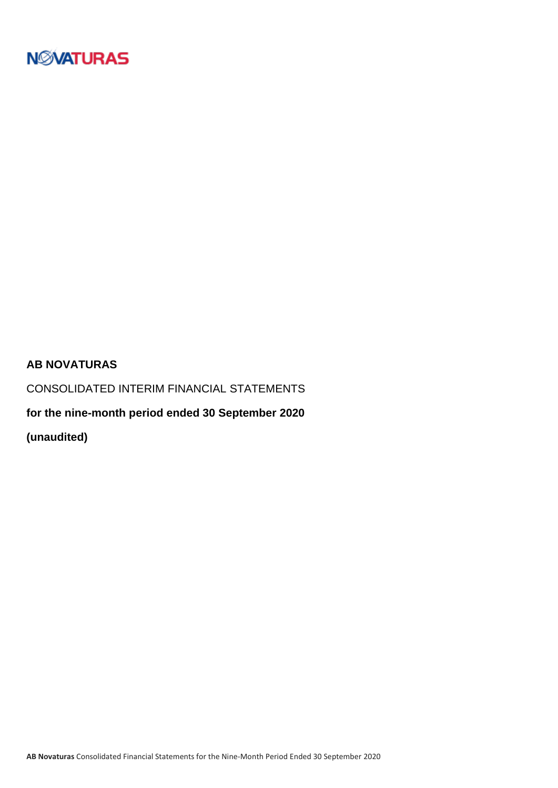

#### **AB NOVATURAS**

CONSOLIDATED INTERIM FINANCIAL STATEMENTS

**for the nine-month period ended 30 September 2020**

**(unaudited)**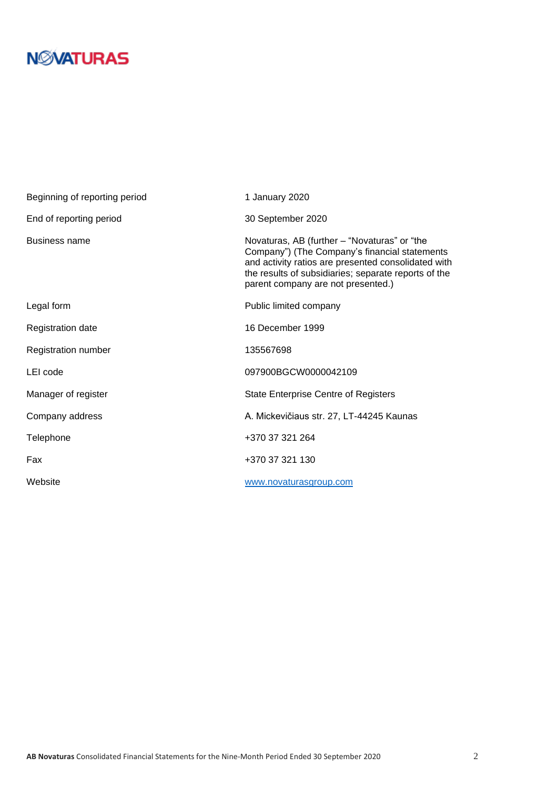# **N***N***XATURAS**

| Beginning of reporting period | 1 January 2020                                                                                                                                                                                                                                     |
|-------------------------------|----------------------------------------------------------------------------------------------------------------------------------------------------------------------------------------------------------------------------------------------------|
| End of reporting period       | 30 September 2020                                                                                                                                                                                                                                  |
| <b>Business name</b>          | Novaturas, AB (further - "Novaturas" or "the<br>Company") (The Company's financial statements<br>and activity ratios are presented consolidated with<br>the results of subsidiaries; separate reports of the<br>parent company are not presented.) |
| Legal form                    | Public limited company                                                                                                                                                                                                                             |
| <b>Registration date</b>      | 16 December 1999                                                                                                                                                                                                                                   |
| Registration number           | 135567698                                                                                                                                                                                                                                          |
| LEI code                      | 097900BGCW0000042109                                                                                                                                                                                                                               |
| Manager of register           | <b>State Enterprise Centre of Registers</b>                                                                                                                                                                                                        |
| Company address               | A. Mickevičiaus str. 27, LT-44245 Kaunas                                                                                                                                                                                                           |
| Telephone                     | +370 37 321 264                                                                                                                                                                                                                                    |
| Fax                           | +370 37 321 130                                                                                                                                                                                                                                    |
| Website                       | www.novaturasgroup.com                                                                                                                                                                                                                             |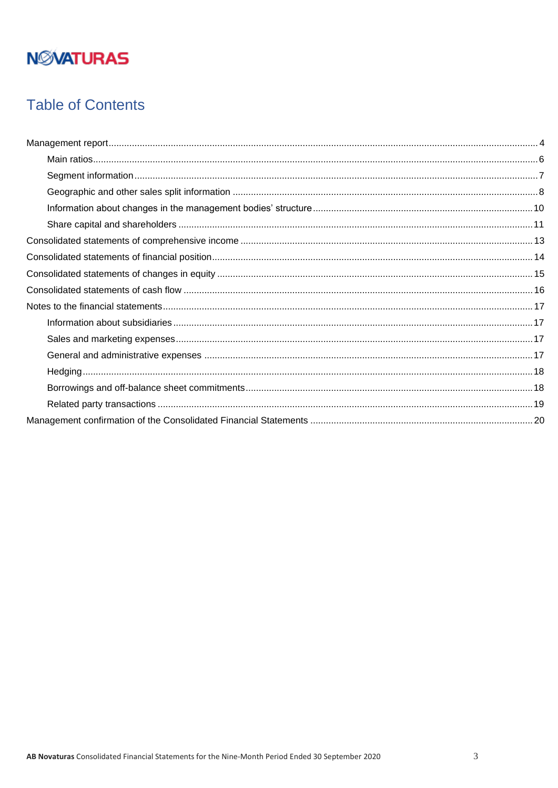# **NMATURAS**

### **Table of Contents**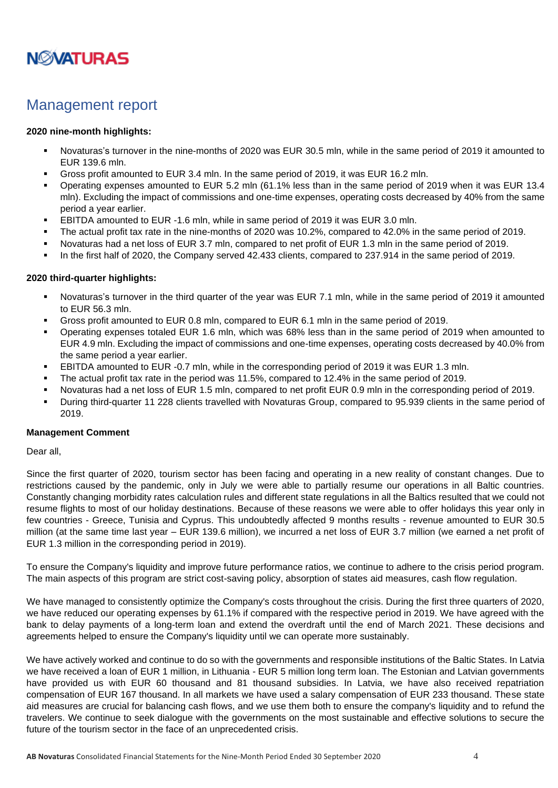

### <span id="page-3-0"></span>Management report

#### **2020 nine-month highlights:**

- Novaturas's turnover in the nine-months of 2020 was EUR 30.5 mln, while in the same period of 2019 it amounted to EUR 139.6 mln.
- Gross profit amounted to EUR 3.4 mln. In the same period of 2019, it was EUR 16.2 mln.
- Operating expenses amounted to EUR 5.2 mln (61.1% less than in the same period of 2019 when it was EUR 13.4 mln). Excluding the impact of commissions and one-time expenses, operating costs decreased by 40% from the same period a year earlier.
- **EBITDA amounted to EUR -1.6 mln, while in same period of 2019 it was EUR 3.0 mln.**
- The actual profit tax rate in the nine-months of 2020 was 10.2%, compared to 42.0% in the same period of 2019.
- Novaturas had a net loss of EUR 3.7 mln, compared to net profit of EUR 1.3 mln in the same period of 2019.
- In the first half of 2020, the Company served 42.433 clients, compared to 237.914 in the same period of 2019.

#### **2020 third-quarter highlights:**

- Novaturas's turnover in the third quarter of the year was EUR 7.1 mln, while in the same period of 2019 it amounted to EUR 56.3 mln.
- Gross profit amounted to EUR 0.8 mln, compared to EUR 6.1 mln in the same period of 2019.
- Operating expenses totaled EUR 1.6 mln, which was 68% less than in the same period of 2019 when amounted to EUR 4.9 mln. Excluding the impact of commissions and one-time expenses, operating costs decreased by 40.0% from the same period a year earlier.
- **EBITDA amounted to EUR -0.7 mln, while in the corresponding period of 2019 it was EUR 1.3 mln.**
- The actual profit tax rate in the period was 11.5%, compared to 12.4% in the same period of 2019.
- Novaturas had a net loss of EUR 1.5 mln, compared to net profit EUR 0.9 mln in the corresponding period of 2019.
- During third-quarter 11 228 clients travelled with Novaturas Group, compared to 95.939 clients in the same period of 2019.

#### **Management Comment**

Dear all,

Since the first quarter of 2020, tourism sector has been facing and operating in a new reality of constant changes. Due to restrictions caused by the pandemic, only in July we were able to partially resume our operations in all Baltic countries. Constantly changing morbidity rates calculation rules and different state regulations in all the Baltics resulted that we could not resume flights to most of our holiday destinations. Because of these reasons we were able to offer holidays this year only in few countries - Greece, Tunisia and Cyprus. This undoubtedly affected 9 months results - revenue amounted to EUR 30.5 million (at the same time last year – EUR 139.6 million), we incurred a net loss of EUR 3.7 million (we earned a net profit of EUR 1.3 million in the corresponding period in 2019).

To ensure the Company's liquidity and improve future performance ratios, we continue to adhere to the crisis period program. The main aspects of this program are strict cost-saving policy, absorption of states aid measures, cash flow regulation.

We have managed to consistently optimize the Company's costs throughout the crisis. During the first three quarters of 2020, we have reduced our operating expenses by 61.1% if compared with the respective period in 2019. We have agreed with the bank to delay payments of a long-term loan and extend the overdraft until the end of March 2021. These decisions and agreements helped to ensure the Company's liquidity until we can operate more sustainably.

We have actively worked and continue to do so with the governments and responsible institutions of the Baltic States. In Latvia we have received a loan of EUR 1 million, in Lithuania - EUR 5 million long term loan. The Estonian and Latvian governments have provided us with EUR 60 thousand and 81 thousand subsidies. In Latvia, we have also received repatriation compensation of EUR 167 thousand. In all markets we have used a salary compensation of EUR 233 thousand. These state aid measures are crucial for balancing cash flows, and we use them both to ensure the company's liquidity and to refund the travelers. We continue to seek dialogue with the governments on the most sustainable and effective solutions to secure the future of the tourism sector in the face of an unprecedented crisis.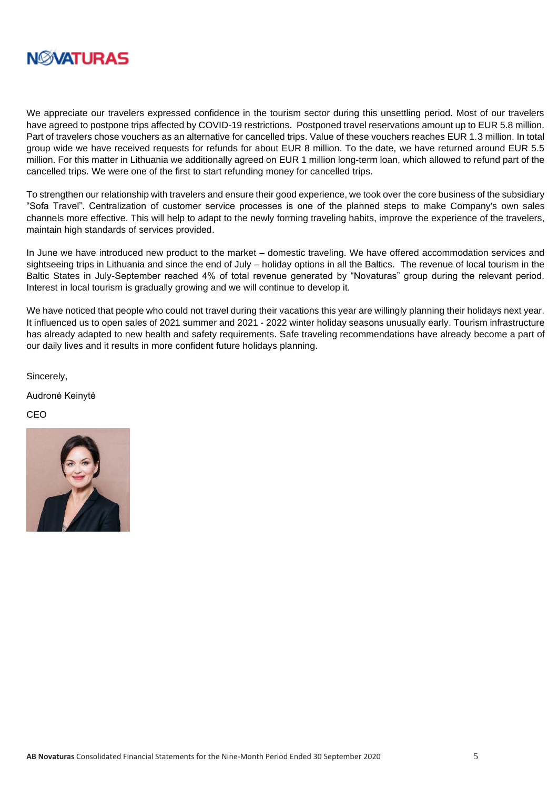

We appreciate our travelers expressed confidence in the tourism sector during this unsettling period. Most of our travelers have agreed to postpone trips affected by COVID-19 restrictions. Postponed travel reservations amount up to EUR 5.8 million. Part of travelers chose vouchers as an alternative for cancelled trips. Value of these vouchers reaches EUR 1.3 million. In total group wide we have received requests for refunds for about EUR 8 million. To the date, we have returned around EUR 5.5 million. For this matter in Lithuania we additionally agreed on EUR 1 million long-term loan, which allowed to refund part of the cancelled trips. We were one of the first to start refunding money for cancelled trips.

To strengthen our relationship with travelers and ensure their good experience, we took over the core business of the subsidiary "Sofa Travel". Centralization of customer service processes is one of the planned steps to make Company's own sales channels more effective. This will help to adapt to the newly forming traveling habits, improve the experience of the travelers, maintain high standards of services provided.

In June we have introduced new product to the market – domestic traveling. We have offered accommodation services and sightseeing trips in Lithuania and since the end of July – holiday options in all the Baltics. The revenue of local tourism in the Baltic States in July-September reached 4% of total revenue generated by "Novaturas" group during the relevant period. Interest in local tourism is gradually growing and we will continue to develop it.

We have noticed that people who could not travel during their vacations this year are willingly planning their holidays next year. It influenced us to open sales of 2021 summer and 2021 - 2022 winter holiday seasons unusually early. Tourism infrastructure has already adapted to new health and safety requirements. Safe traveling recommendations have already become a part of our daily lives and it results in more confident future holidays planning.

Sincerely,

Audronė Keinytė

CEO

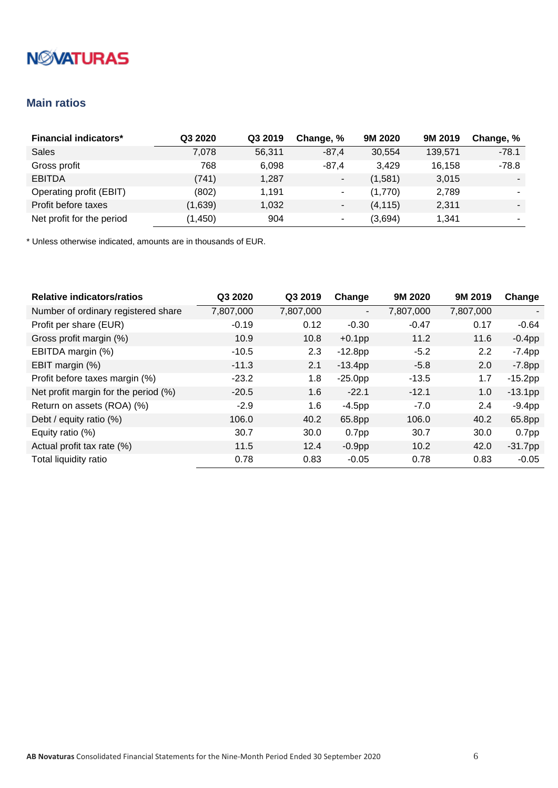# **NMATURAS**

### <span id="page-5-0"></span>**Main ratios**

| <b>Financial indicators*</b> | Q3 2020  | Q3 2019 | Change, %                | 9M 2020  | 9M 2019 | Change, % |
|------------------------------|----------|---------|--------------------------|----------|---------|-----------|
| <b>Sales</b>                 | 7,078    | 56,311  | $-87,4$                  | 30,554   | 139,571 | $-78.1$   |
| Gross profit                 | 768      | 6.098   | $-87.4$                  | 3,429    | 16,158  | $-78.8$   |
| <b>EBITDA</b>                | (741)    | 1,287   | $\blacksquare$           | (1,581)  | 3,015   |           |
| Operating profit (EBIT)      | (802)    | 1,191   | ۰                        | (1,770)  | 2,789   |           |
| Profit before taxes          | (1,639)  | 1,032   | ٠                        | (4, 115) | 2,311   |           |
| Net profit for the period    | (1, 450) | 904     | $\overline{\phantom{a}}$ | (3,694)  | 1,341   |           |

| <b>Relative indicators/ratios</b>    | Q3 2020   | Q3 2019   | Change                   | 9M 2020   | 9M 2019   | Change            |
|--------------------------------------|-----------|-----------|--------------------------|-----------|-----------|-------------------|
| Number of ordinary registered share  | 7,807,000 | 7,807,000 | $\overline{\phantom{a}}$ | 7,807,000 | 7,807,000 | ۰.                |
| Profit per share (EUR)               | $-0.19$   | 0.12      | $-0.30$                  | $-0.47$   | 0.17      | $-0.64$           |
| Gross profit margin (%)              | 10.9      | 10.8      | $+0.1$ pp                | 11.2      | 11.6      | $-0.4$ pp         |
| EBITDA margin (%)                    | $-10.5$   | 2.3       | $-12.8pp$                | $-5.2$    | 2.2       | $-7.4$ pp         |
| EBIT margin (%)                      | $-11.3$   | 2.1       | $-13.4pp$                | $-5.8$    | 2.0       | $-7.8$ pp         |
| Profit before taxes margin (%)       | $-23.2$   | 1.8       | $-25.0pp$                | $-13.5$   | 1.7       | $-15.2pp$         |
| Net profit margin for the period (%) | $-20.5$   | 1.6       | $-22.1$                  | $-12.1$   | 1.0       | $-13.1pp$         |
| Return on assets (ROA) (%)           | $-2.9$    | 1.6       | $-4.5$ pp                | $-7.0$    | 2.4       | $-9.4pp$          |
| Debt / equity ratio (%)              | 106.0     | 40.2      | 65.8pp                   | 106.0     | 40.2      | 65.8pp            |
| Equity ratio (%)                     | 30.7      | 30.0      | 0.7 <sub>pp</sub>        | 30.7      | 30.0      | 0.7 <sub>pp</sub> |
| Actual profit tax rate (%)           | 11.5      | 12.4      | $-0.9pp$                 | 10.2      | 42.0      | $-31.7$ pp        |
| Total liquidity ratio                | 0.78      | 0.83      | $-0.05$                  | 0.78      | 0.83      | $-0.05$           |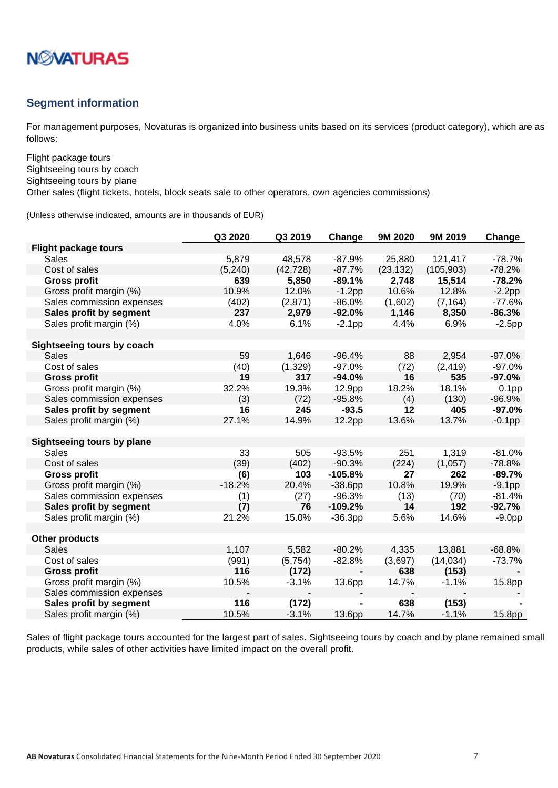

#### <span id="page-6-0"></span>**Segment information**

For management purposes, Novaturas is organized into business units based on its services (product category), which are as follows:

Flight package tours Sightseeing tours by coach Sightseeing tours by plane Other sales (flight tickets, hotels, block seats sale to other operators, own agencies commissions)

(Unless otherwise indicated, amounts are in thousands of EUR)

|                             | Q3 2020  | Q3 2019   | Change    | 9M 2020   | 9M 2019    | Change            |
|-----------------------------|----------|-----------|-----------|-----------|------------|-------------------|
| <b>Flight package tours</b> |          |           |           |           |            |                   |
| <b>Sales</b>                | 5,879    | 48,578    | $-87.9%$  | 25,880    | 121,417    | $-78.7%$          |
| Cost of sales               | (5, 240) | (42, 728) | $-87.7%$  | (23, 132) | (105, 903) | $-78.2%$          |
| <b>Gross profit</b>         | 639      | 5,850     | $-89.1%$  | 2,748     | 15,514     | $-78.2%$          |
| Gross profit margin (%)     | 10.9%    | 12.0%     | $-1.2$ pp | 10.6%     | 12.8%      | $-2.2pp$          |
| Sales commission expenses   | (402)    | (2,871)   | $-86.0%$  | (1,602)   | (7, 164)   | $-77.6%$          |
| Sales profit by segment     | 237      | 2,979     | $-92.0%$  | 1,146     | 8,350      | $-86.3%$          |
| Sales profit margin (%)     | 4.0%     | 6.1%      | $-2.1pp$  | 4.4%      | 6.9%       | $-2.5$ pp         |
|                             |          |           |           |           |            |                   |
| Sightseeing tours by coach  |          |           |           |           |            |                   |
| <b>Sales</b>                | 59       | 1,646     | $-96.4%$  | 88        | 2,954      | $-97.0%$          |
| Cost of sales               | (40)     | (1,329)   | $-97.0%$  | (72)      | (2, 419)   | $-97.0%$          |
| <b>Gross profit</b>         | 19       | 317       | $-94.0%$  | 16        | 535        | $-97.0%$          |
| Gross profit margin (%)     | 32.2%    | 19.3%     | 12.9pp    | 18.2%     | 18.1%      | 0.1 <sub>pp</sub> |
| Sales commission expenses   | (3)      | (72)      | $-95.8%$  | (4)       | (130)      | $-96.9%$          |
| Sales profit by segment     | 16       | 245       | $-93.5$   | 12        | 405        | $-97.0%$          |
| Sales profit margin (%)     | 27.1%    | 14.9%     | 12.2pp    | 13.6%     | 13.7%      | $-0.1$ pp         |
|                             |          |           |           |           |            |                   |
| Sightseeing tours by plane  |          |           |           |           |            |                   |
| Sales                       | 33       | 505       | $-93.5%$  | 251       | 1,319      | $-81.0%$          |
| Cost of sales               | (39)     | (402)     | $-90.3%$  | (224)     | (1,057)    | $-78.8%$          |
| <b>Gross profit</b>         | (6)      | 103       | $-105.8%$ | 27        | 262        | $-89.7%$          |
| Gross profit margin (%)     | $-18.2%$ | 20.4%     | $-38.6pp$ | 10.8%     | 19.9%      | $-9.1pp$          |
| Sales commission expenses   | (1)      | (27)      | $-96.3%$  | (13)      | (70)       | $-81.4%$          |
| Sales profit by segment     | (7)      | 76        | $-109.2%$ | 14        | 192        | $-92.7%$          |
| Sales profit margin (%)     | 21.2%    | 15.0%     | $-36.3pp$ | 5.6%      | 14.6%      | $-9.0pp$          |
|                             |          |           |           |           |            |                   |
| <b>Other products</b>       |          |           |           |           |            |                   |
| <b>Sales</b>                | 1,107    | 5,582     | $-80.2%$  | 4,335     | 13,881     | $-68.8%$          |
| Cost of sales               | (991)    | (5,754)   | $-82.8%$  | (3,697)   | (14, 034)  | $-73.7%$          |
| <b>Gross profit</b>         | 116      | (172)     |           | 638       | (153)      |                   |
| Gross profit margin (%)     | 10.5%    | $-3.1%$   | 13.6pp    | 14.7%     | $-1.1%$    | 15.8pp            |
| Sales commission expenses   |          |           |           |           |            |                   |
| Sales profit by segment     | 116      | (172)     |           | 638       | (153)      |                   |
| Sales profit margin (%)     | 10.5%    | $-3.1%$   | 13.6pp    | 14.7%     | $-1.1%$    | 15.8pp            |

Sales of flight package tours accounted for the largest part of sales. Sightseeing tours by coach and by plane remained small products, while sales of other activities have limited impact on the overall profit.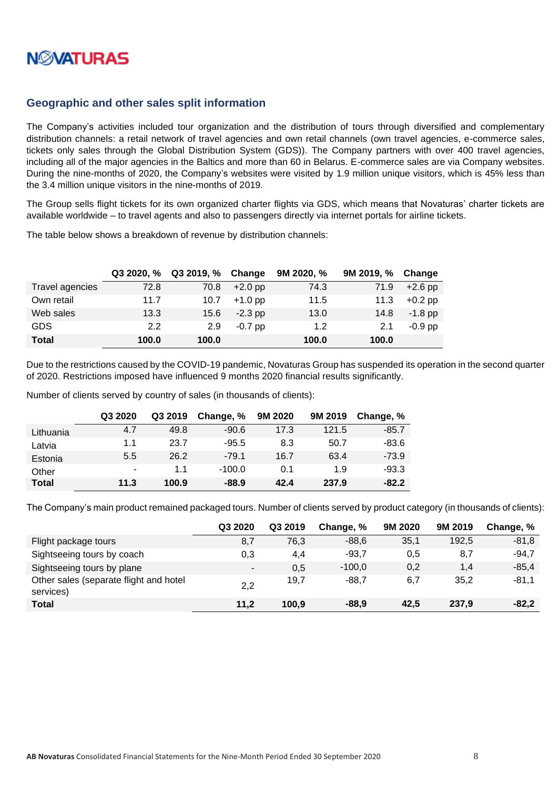

#### <span id="page-7-0"></span>**Geographic and other sales split information**

The Company's activities included tour organization and the distribution of tours through diversified and complementary distribution channels: a retail network of travel agencies and own retail channels (own travel agencies, e-commerce sales, tickets only sales through the Global Distribution System (GDS)). The Company partners with over 400 travel agencies, including all of the major agencies in the Baltics and more than 60 in Belarus. E-commerce sales are via Company websites. During the nine-months of 2020, the Company's websites were visited by 1.9 million unique visitors, which is 45% less than the 3.4 million unique visitors in the nine-months of 2019.

The Group sells flight tickets for its own organized charter flights via GDS, which means that Novaturas' charter tickets are available worldwide – to travel agents and also to passengers directly via internet portals for airline tickets.

The table below shows a breakdown of revenue by distribution channels:

|                 | Q32020. % | Q3 2019, % | Change    | 9M 2020, % | 9M 2019, % | Change    |
|-----------------|-----------|------------|-----------|------------|------------|-----------|
| Travel agencies | 72.8      | 70.8       | $+2.0$ pp | 74.3       | 71.9       | $+2.6$ pp |
| Own retail      | 11.7      | 10.7       | $+1.0$ pp | 11.5       | 11.3       | $+0.2$ pp |
| Web sales       | 13.3      | 15.6       | $-2.3$ pp | 13.0       | 14.8       | $-1.8$ pp |
| <b>GDS</b>      | 2.2       | 2.9        | $-0.7$ pp | 1.2        | 2.1        | $-0.9$ pp |
| <b>Total</b>    | 100.0     | 100.0      |           | 100.0      | 100.0      |           |

Due to the restrictions caused by the COVID-19 pandemic, Novaturas Group has suspended its operation in the second quarter of 2020. Restrictions imposed have influenced 9 months 2020 financial results significantly.

Number of clients served by country of sales (in thousands of clients):

|              | Q3 2020 | Q3 2019 | Change, % | 9M 2020 | 9M 2019 | Change, % |
|--------------|---------|---------|-----------|---------|---------|-----------|
| Lithuania    | 4.7     | 49.8    | $-90.6$   | 17.3    | 121.5   | $-85.7$   |
| Latvia       | 1.1     | 23.7    | $-95.5$   | 8.3     | 50.7    | $-83.6$   |
| Estonia      | 5.5     | 26.2    | $-79.1$   | 16.7    | 63.4    | $-73.9$   |
| Other        |         | 1.1     | $-100.0$  | 0.1     | 1.9     | $-93.3$   |
| <b>Total</b> | 11.3    | 100.9   | $-88.9$   | 42.4    | 237.9   | $-82.2$   |

The Company's main product remained packaged tours. Number of clients served by product category (in thousands of clients):

|                                                     | Q3 2020 | Q3 2019 | Change, % | 9M 2020 | 9M 2019 | Change, % |
|-----------------------------------------------------|---------|---------|-----------|---------|---------|-----------|
| Flight package tours                                | 8,7     | 76,3    | $-88,6$   | 35,1    | 192,5   | $-81,8$   |
| Sightseeing tours by coach                          | 0,3     | 4,4     | $-93,7$   | 0,5     | 8,7     | $-94,7$   |
| Sightseeing tours by plane                          | ۰.      | 0,5     | $-100,0$  | 0,2     | 1,4     | $-85,4$   |
| Other sales (separate flight and hotel<br>services) | 2,2     | 19,7    | $-88,7$   | 6,7     | 35,2    | $-81,1$   |
| Total                                               | 11,2    | 100,9   | $-88,9$   | 42.5    | 237,9   | $-82,2$   |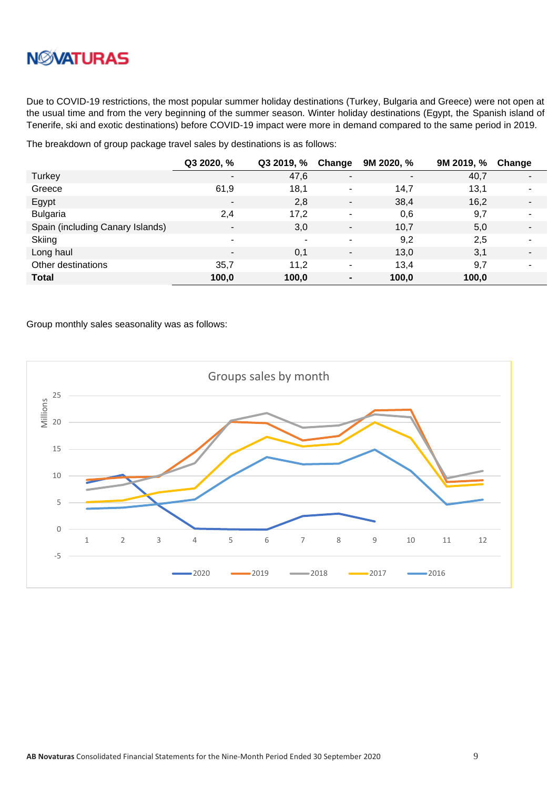

Due to COVID-19 restrictions, the most popular summer holiday destinations (Turkey, Bulgaria and Greece) were not open at the usual time and from the very beginning of the summer season. Winter holiday destinations (Egypt, the Spanish island of Tenerife, ski and exotic destinations) before COVID-19 impact were more in demand compared to the same period in 2019.

The breakdown of group package travel sales by destinations is as follows:

|                                  | Q3 2020, %     | Q3 2019, % Change |                          | 9M 2020, %               | 9M 2019, % | Change                   |
|----------------------------------|----------------|-------------------|--------------------------|--------------------------|------------|--------------------------|
| Turkey                           | ۰              | 47,6              | $\overline{\phantom{a}}$ | $\overline{\phantom{a}}$ | 40,7       | $\overline{\phantom{a}}$ |
| Greece                           | 61,9           | 18,1              | ٠                        | 14,7                     | 13,1       | $\blacksquare$           |
| Egypt                            | $\blacksquare$ | 2,8               | ٠                        | 38,4                     | 16,2       | $\overline{\phantom{a}}$ |
| <b>Bulgaria</b>                  | 2,4            | 17,2              | ٠                        | 0,6                      | 9,7        | $\blacksquare$           |
| Spain (including Canary Islands) | $\sim$         | 3,0               | $\overline{\phantom{a}}$ | 10,7                     | 5,0        | $\blacksquare$           |
| Skiing                           | ۰              | -                 | ۰                        | 9,2                      | 2,5        | ۰                        |
| Long haul                        | ۰              | 0,1               | $\overline{\phantom{0}}$ | 13,0                     | 3,1        | $\blacksquare$           |
| Other destinations               | 35,7           | 11,2              | ٠                        | 13.4                     | 9,7        | $\blacksquare$           |
| <b>Total</b>                     | 100,0          | 100,0             | $\blacksquare$           | 100,0                    | 100,0      |                          |

Group monthly sales seasonality was as follows:

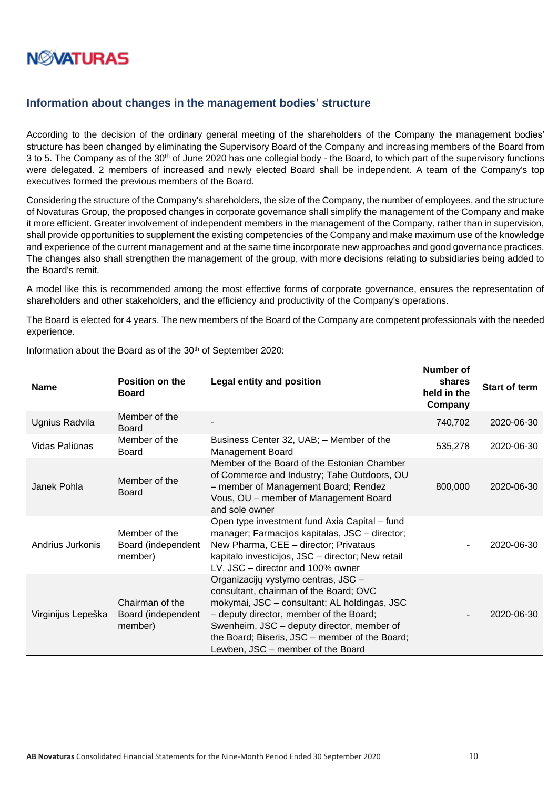

#### <span id="page-9-0"></span>**Information about changes in the management bodies' structure**

According to the decision of the ordinary general meeting of the shareholders of the Company the management bodies' structure has been changed by eliminating the Supervisory Board of the Company and increasing members of the Board from 3 to 5. The Company as of the 30<sup>th</sup> of June 2020 has one collegial body - the Board, to which part of the supervisory functions were delegated. 2 members of increased and newly elected Board shall be independent. A team of the Company's top executives formed the previous members of the Board.

Considering the structure of the Company's shareholders, the size of the Company, the number of employees, and the structure of Novaturas Group, the proposed changes in corporate governance shall simplify the management of the Company and make it more efficient. Greater involvement of independent members in the management of the Company, rather than in supervision, shall provide opportunities to supplement the existing competencies of the Company and make maximum use of the knowledge and experience of the current management and at the same time incorporate new approaches and good governance practices. The changes also shall strengthen the management of the group, with more decisions relating to subsidiaries being added to the Board's remit.

A model like this is recommended among the most effective forms of corporate governance, ensures the representation of shareholders and other stakeholders, and the efficiency and productivity of the Company's operations.

The Board is elected for 4 years. The new members of the Board of the Company are competent professionals with the needed experience.

| <b>Name</b>        | <b>Position on the</b><br><b>Board</b>           | <b>Legal entity and position</b>                                                                                                                                                                                                                                                                              | וש וסעווווטרו<br>shares<br>held in the<br>Company | <b>Start of term</b> |
|--------------------|--------------------------------------------------|---------------------------------------------------------------------------------------------------------------------------------------------------------------------------------------------------------------------------------------------------------------------------------------------------------------|---------------------------------------------------|----------------------|
| Ugnius Radvila     | Member of the<br><b>Board</b>                    |                                                                                                                                                                                                                                                                                                               | 740,702                                           | 2020-06-30           |
| Vidas Paliūnas     | Member of the<br>Board                           | Business Center 32, UAB; - Member of the<br><b>Management Board</b>                                                                                                                                                                                                                                           | 535,278                                           | 2020-06-30           |
| Janek Pohla        | Member of the<br>Board                           | Member of the Board of the Estonian Chamber<br>of Commerce and Industry; Tahe Outdoors, OU<br>- member of Management Board; Rendez<br>Vous, OU - member of Management Board<br>and sole owner                                                                                                                 | 800,000                                           | 2020-06-30           |
| Andrius Jurkonis   | Member of the<br>Board (independent<br>member)   | Open type investment fund Axia Capital - fund<br>manager; Farmacijos kapitalas, JSC - director;<br>New Pharma, CEE - director; Privataus<br>kapitalo investicijos, JSC - director; New retail<br>LV, JSC - director and 100% owner                                                                            |                                                   | 2020-06-30           |
| Virginijus Lepeška | Chairman of the<br>Board (independent<br>member) | Organizacijų vystymo centras, JSC -<br>consultant, chairman of the Board; OVC<br>mokymai, JSC - consultant; AL holdingas, JSC<br>- deputy director, member of the Board;<br>Swenheim, JSC - deputy director, member of<br>the Board; Biseris, JSC - member of the Board;<br>Lewben, JSC – member of the Board |                                                   | 2020-06-30           |

Information about the Board as of the 30<sup>th</sup> of September 2020:

**Number of**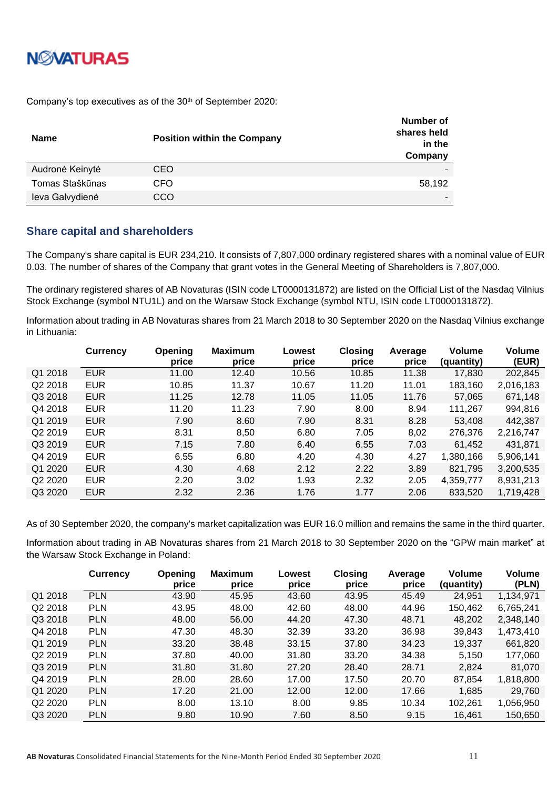## **NØVATURAS**

Company's top executives as of the 30<sup>th</sup> of September 2020:

| <b>Name</b>     | <b>Position within the Company</b> | Number of<br>shares held<br>in the<br>Company |
|-----------------|------------------------------------|-----------------------------------------------|
| Audronė Keinytė | CEO                                |                                               |
| Tomas Staškūnas | CFO                                | 58,192                                        |
| leva Galvydienė | CCO                                |                                               |

#### <span id="page-10-0"></span>**Share capital and shareholders**

The Company's share capital is EUR 234,210. It consists of 7,807,000 ordinary registered shares with a nominal value of EUR 0.03. The number of shares of the Company that grant votes in the General Meeting of Shareholders is 7,807,000.

The ordinary registered shares of AB Novaturas (ISIN code LT0000131872) are listed on the Official List of the Nasdaq Vilnius Stock Exchange (symbol NTU1L) and on the Warsaw Stock Exchange (symbol NTU, ISIN code LT0000131872).

Information about trading in AB Novaturas shares from 21 March 2018 to 30 September 2020 on the Nasdaq Vilnius exchange in Lithuania:

|                                 | <b>Currency</b> | Opening<br>price | <b>Maximum</b><br>price | Lowest<br>price | <b>Closing</b><br>price | Average<br>price | <b>Volume</b><br>(quantity) | Volume<br>(EUR) |
|---------------------------------|-----------------|------------------|-------------------------|-----------------|-------------------------|------------------|-----------------------------|-----------------|
| Q1 2018                         | <b>EUR</b>      | 11.00            | 12.40                   | 10.56           | 10.85                   | 11.38            | 17,830                      | 202,845         |
| Q2 2018                         | <b>EUR</b>      | 10.85            | 11.37                   | 10.67           | 11.20                   | 11.01            | 183,160                     | 2,016,183       |
| Q3 2018                         | <b>EUR</b>      | 11.25            | 12.78                   | 11.05           | 11.05                   | 11.76            | 57,065                      | 671,148         |
| Q4 2018                         | <b>EUR</b>      | 11.20            | 11.23                   | 7.90            | 8.00                    | 8.94             | 111,267                     | 994,816         |
| Q1 2019                         | <b>EUR</b>      | 7.90             | 8.60                    | 7.90            | 8.31                    | 8.28             | 53,408                      | 442,387         |
| Q <sub>2</sub> 2019             | <b>EUR</b>      | 8.31             | 8,50                    | 6.80            | 7.05                    | 8,02             | 276,376                     | 2,216,747       |
| Q3 2019                         | <b>EUR</b>      | 7.15             | 7.80                    | 6.40            | 6.55                    | 7.03             | 61,452                      | 431,871         |
| Q4 2019                         | <b>EUR</b>      | 6.55             | 6.80                    | 4.20            | 4.30                    | 4.27             | 1,380,166                   | 5,906,141       |
| Q1 2020                         | <b>EUR</b>      | 4.30             | 4.68                    | 2.12            | 2.22                    | 3.89             | 821,795                     | 3,200,535       |
| Q <sub>2</sub> 20 <sub>20</sub> | <b>EUR</b>      | 2.20             | 3.02                    | 1.93            | 2.32                    | 2.05             | 4,359,777                   | 8,931,213       |
| Q3 2020                         | <b>EUR</b>      | 2.32             | 2.36                    | 1.76            | 1.77                    | 2.06             | 833.520                     | 1.719.428       |

As of 30 September 2020, the company's market capitalization was EUR 16.0 million and remains the same in the third quarter.

Information about trading in AB Novaturas shares from 21 March 2018 to 30 September 2020 on the "GPW main market" at the Warsaw Stock Exchange in Poland:

|                                 | <b>Currency</b> | Opening<br>price | <b>Maximum</b><br>price | Lowest<br>price | <b>Closing</b><br>price | Average<br>price | Volume<br>(quantity) | Volume<br>(PLN) |
|---------------------------------|-----------------|------------------|-------------------------|-----------------|-------------------------|------------------|----------------------|-----------------|
| Q1 2018                         | <b>PLN</b>      | 43.90            | 45.95                   | 43.60           | 43.95                   | 45.49            | 24.951               | 1,134,971       |
| Q2 2018                         | <b>PLN</b>      | 43.95            | 48.00                   | 42.60           | 48.00                   | 44.96            | 150,462              | 6,765,241       |
| Q3 2018                         | <b>PLN</b>      | 48.00            | 56.00                   | 44.20           | 47.30                   | 48.71            | 48,202               | 2,348,140       |
| Q4 2018                         | <b>PLN</b>      | 47.30            | 48.30                   | 32.39           | 33.20                   | 36.98            | 39,843               | 1,473,410       |
| Q1 2019                         | <b>PLN</b>      | 33.20            | 38.48                   | 33.15           | 37.80                   | 34.23            | 19,337               | 661,820         |
| Q <sub>2</sub> 2019             | <b>PLN</b>      | 37.80            | 40.00                   | 31.80           | 33.20                   | 34.38            | 5,150                | 177,060         |
| Q3 2019                         | <b>PLN</b>      | 31.80            | 31.80                   | 27.20           | 28.40                   | 28.71            | 2,824                | 81.070          |
| Q4 2019                         | <b>PLN</b>      | 28.00            | 28.60                   | 17.00           | 17.50                   | 20.70            | 87.854               | 1,818,800       |
| Q1 2020                         | <b>PLN</b>      | 17.20            | 21.00                   | 12.00           | 12.00                   | 17.66            | 1.685                | 29.760          |
| Q <sub>2</sub> 20 <sub>20</sub> | <b>PLN</b>      | 8.00             | 13.10                   | 8.00            | 9.85                    | 10.34            | 102,261              | 1,056,950       |
| Q3 2020                         | <b>PLN</b>      | 9.80             | 10.90                   | 7.60            | 8.50                    | 9.15             | 16,461               | 150.650         |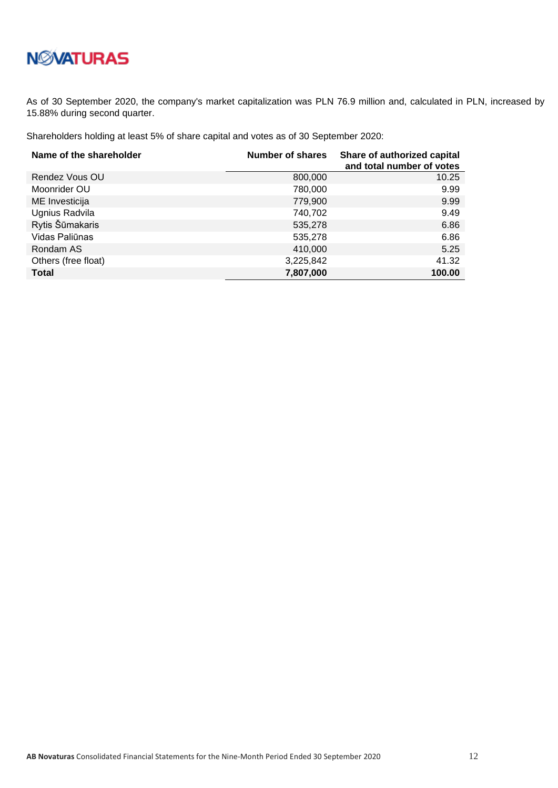As of 30 September 2020, the company's market capitalization was PLN 76.9 million and, calculated in PLN, increased by 15.88% during second quarter.

Shareholders holding at least 5% of share capital and votes as of 30 September 2020:

| Name of the shareholder | <b>Number of shares</b> | Share of authorized capital<br>and total number of votes |
|-------------------------|-------------------------|----------------------------------------------------------|
| Rendez Vous OU          | 800,000                 | 10.25                                                    |
| Moonrider OU            | 780,000                 | 9.99                                                     |
| ME Investicija          | 779,900                 | 9.99                                                     |
| Ugnius Radvila          | 740,702                 | 9.49                                                     |
| Rytis Šūmakaris         | 535,278                 | 6.86                                                     |
| Vidas Paliūnas          | 535,278                 | 6.86                                                     |
| Rondam AS               | 410,000                 | 5.25                                                     |
| Others (free float)     | 3,225,842               | 41.32                                                    |
| <b>Total</b>            | 7,807,000               | 100.00                                                   |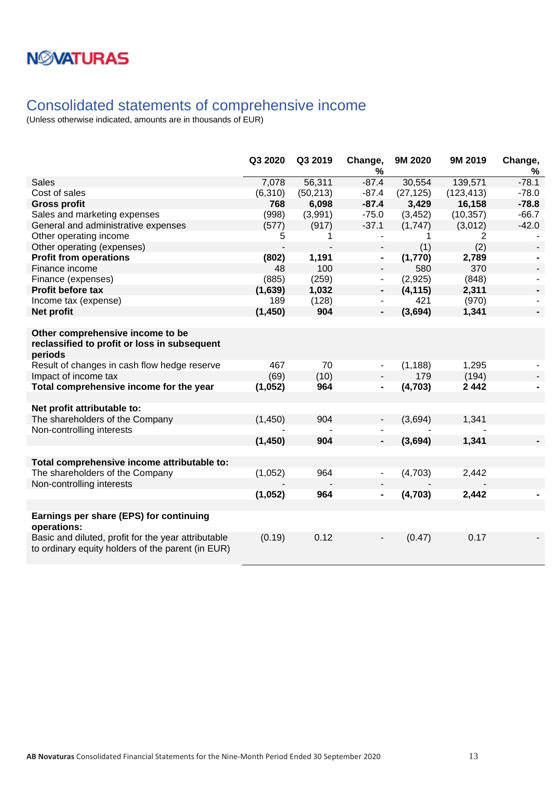### <span id="page-12-0"></span>Consolidated statements of comprehensive income

|                                                                                                                                             | Q3 2020  | Q3 2019   | Change,<br>℅                 | 9M 2020   | 9M 2019    | Change,<br>% |
|---------------------------------------------------------------------------------------------------------------------------------------------|----------|-----------|------------------------------|-----------|------------|--------------|
| <b>Sales</b>                                                                                                                                | 7,078    | 56,311    | $-87.4$                      | 30,554    | 139,571    | $-78.1$      |
| Cost of sales                                                                                                                               | (6, 310) | (50, 213) | $-87.4$                      | (27, 125) | (123, 413) | $-78.0$      |
| <b>Gross profit</b>                                                                                                                         | 768      | 6,098     | $-87.4$                      | 3,429     | 16,158     | $-78.8$      |
| Sales and marketing expenses                                                                                                                | (998)    | (3,991)   | $-75.0$                      | (3, 452)  | (10, 357)  | $-66.7$      |
| General and administrative expenses                                                                                                         | (577)    | (917)     | $-37.1$                      | (1,747)   | (3,012)    | $-42.0$      |
| Other operating income                                                                                                                      | 5        | 1         | $\overline{\phantom{a}}$     | 1         | 2          |              |
| Other operating (expenses)                                                                                                                  |          |           | $\overline{\phantom{a}}$     | (1)       | (2)        |              |
| <b>Profit from operations</b>                                                                                                               | (802)    | 1,191     | $\blacksquare$               | (1,770)   | 2,789      |              |
| Finance income                                                                                                                              | 48       | 100       | $\overline{\phantom{a}}$     | 580       | 370        |              |
| Finance (expenses)                                                                                                                          | (885)    | (259)     | $\blacksquare$               | (2,925)   | (848)      |              |
| Profit before tax                                                                                                                           | (1,639)  | 1,032     | ٠                            | (4, 115)  | 2,311      |              |
| Income tax (expense)                                                                                                                        | 189      | (128)     |                              | 421       | (970)      |              |
| Net profit                                                                                                                                  | (1, 450) | 904       | -                            | (3,694)   | 1,341      |              |
| Other comprehensive income to be<br>reclassified to profit or loss in subsequent<br>periods<br>Result of changes in cash flow hedge reserve | 467      | 70        | $\blacksquare$               | (1, 188)  | 1,295      |              |
| Impact of income tax                                                                                                                        | (69)     | (10)      |                              | 179       | (194)      |              |
| Total comprehensive income for the year                                                                                                     | (1,052)  | 964       | $\blacksquare$               | (4,703)   | 2442       |              |
|                                                                                                                                             |          |           |                              |           |            |              |
| Net profit attributable to:                                                                                                                 |          |           |                              |           |            |              |
| The shareholders of the Company<br>Non-controlling interests                                                                                | (1,450)  | 904       |                              | (3,694)   | 1,341      |              |
|                                                                                                                                             | (1, 450) | 904       | $\blacksquare$               | (3,694)   | 1,341      |              |
|                                                                                                                                             |          |           |                              |           |            |              |
| Total comprehensive income attributable to:                                                                                                 |          |           |                              |           |            |              |
| The shareholders of the Company                                                                                                             | (1,052)  | 964       | $\blacksquare$               | (4,703)   | 2,442      |              |
| Non-controlling interests                                                                                                                   |          |           |                              |           |            |              |
|                                                                                                                                             | (1,052)  | 964       | $\qquad \qquad \blacksquare$ | (4, 703)  | 2,442      |              |
|                                                                                                                                             |          |           |                              |           |            |              |
| Earnings per share (EPS) for continuing<br>operations:                                                                                      |          |           |                              |           |            |              |
| Basic and diluted, profit for the year attributable<br>to ordinary equity holders of the parent (in EUR)                                    | (0.19)   | 0.12      | $\overline{a}$               | (0.47)    | 0.17       |              |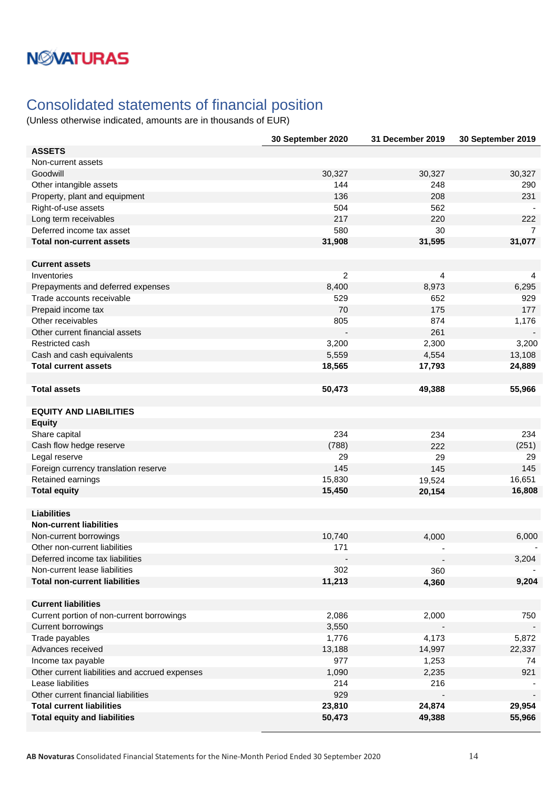### <span id="page-13-0"></span>Consolidated statements of financial position

|                                                | 30 September 2020 | 31 December 2019 | 30 September 2019 |
|------------------------------------------------|-------------------|------------------|-------------------|
| <b>ASSETS</b>                                  |                   |                  |                   |
| Non-current assets                             |                   |                  |                   |
| Goodwill                                       | 30,327            | 30,327           | 30,327            |
| Other intangible assets                        | 144               | 248              | 290               |
| Property, plant and equipment                  | 136               | 208              | 231               |
| Right-of-use assets                            | 504               | 562              |                   |
| Long term receivables                          | 217               | 220              | 222               |
| Deferred income tax asset                      | 580               | 30               | 7                 |
| <b>Total non-current assets</b>                | 31,908            | 31,595           | 31,077            |
|                                                |                   |                  |                   |
| <b>Current assets</b>                          |                   |                  |                   |
| Inventories                                    | $\overline{2}$    | 4                | 4                 |
| Prepayments and deferred expenses              | 8,400             | 8,973            | 6,295             |
| Trade accounts receivable                      | 529               | 652              | 929               |
| Prepaid income tax                             | 70                | 175              | 177               |
| Other receivables                              | 805               | 874              | 1,176             |
| Other current financial assets                 |                   | 261              |                   |
| Restricted cash                                | 3,200             | 2,300            | 3,200             |
| Cash and cash equivalents                      | 5,559             | 4,554            | 13,108            |
| <b>Total current assets</b>                    | 18,565            | 17,793           | 24,889            |
|                                                |                   |                  |                   |
| <b>Total assets</b>                            | 50,473            | 49,388           | 55,966            |
|                                                |                   |                  |                   |
| <b>EQUITY AND LIABILITIES</b><br><b>Equity</b> |                   |                  |                   |
| Share capital                                  | 234               | 234              | 234               |
| Cash flow hedge reserve                        | (788)             | 222              | (251)             |
| Legal reserve                                  | 29                | 29               | 29                |
| Foreign currency translation reserve           | 145               | 145              | 145               |
| Retained earnings                              | 15,830            | 19,524           | 16,651            |
| <b>Total equity</b>                            | 15,450            | 20,154           | 16,808            |
|                                                |                   |                  |                   |
| <b>Liabilities</b>                             |                   |                  |                   |
| <b>Non-current liabilities</b>                 |                   |                  |                   |
| Non-current borrowings                         | 10,740            | 4,000            | 6,000             |
| Other non-current liabilities                  | 171               |                  |                   |
| Deferred income tax liabilities                |                   |                  | 3,204             |
| Non-current lease liabilities                  | 302               | 360              |                   |
| <b>Total non-current liabilities</b>           | 11,213            | 4,360            | 9,204             |
|                                                |                   |                  |                   |
| <b>Current liabilities</b>                     |                   |                  |                   |
| Current portion of non-current borrowings      | 2,086             | 2,000            |                   |
| <b>Current borrowings</b>                      |                   |                  | 750               |
|                                                | 3,550             |                  |                   |
| Trade payables                                 | 1,776             | 4,173            | 5,872             |
| Advances received                              | 13,188            | 14,997           | 22,337            |
| Income tax payable                             | 977               | 1,253            | 74                |
| Other current liabilities and accrued expenses | 1,090             | 2,235            | 921               |
| Lease liabilities                              | 214               | 216              |                   |
| Other current financial liabilities            | 929               |                  |                   |
| <b>Total current liabilities</b>               | 23,810            | 24,874           | 29,954            |
| <b>Total equity and liabilities</b>            | 50,473            | 49,388           | 55,966            |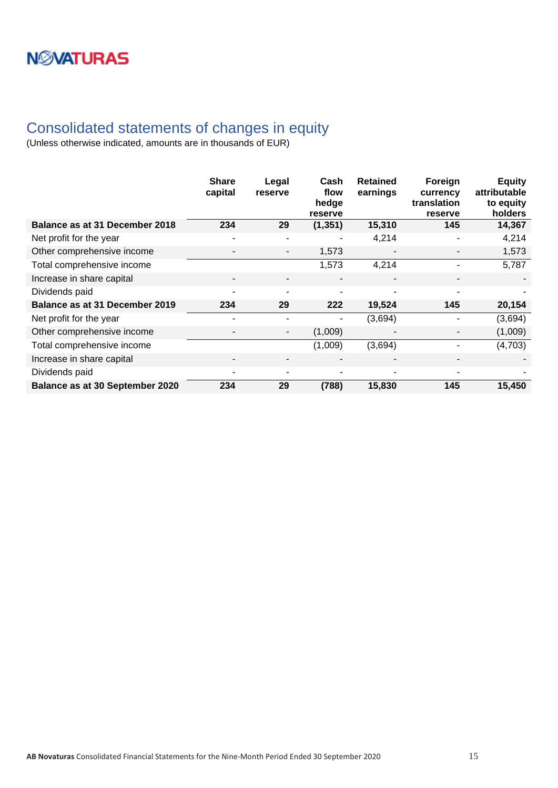### <span id="page-14-0"></span>Consolidated statements of changes in equity

|                                 | <b>Share</b><br>capital  | Legal<br>reserve         | Cash<br>flow<br>hedge<br>reserve | <b>Retained</b><br>earnings | Foreign<br>currency<br>translation<br>reserve | <b>Equity</b><br>attributable<br>to equity<br>holders |
|---------------------------------|--------------------------|--------------------------|----------------------------------|-----------------------------|-----------------------------------------------|-------------------------------------------------------|
| Balance as at 31 December 2018  | 234                      | 29                       | (1, 351)                         | 15,310                      | 145                                           | 14,367                                                |
| Net profit for the year         | $\overline{a}$           | $\overline{a}$           |                                  | 4,214                       |                                               | 4,214                                                 |
| Other comprehensive income      |                          | $\overline{\phantom{a}}$ | 1,573                            |                             |                                               | 1,573                                                 |
| Total comprehensive income      |                          |                          | 1,573                            | 4,214                       |                                               | 5,787                                                 |
| Increase in share capital       | $\overline{\phantom{0}}$ | $\overline{\phantom{0}}$ | $\blacksquare$                   | $\overline{\phantom{a}}$    | ۰                                             |                                                       |
| Dividends paid                  | $\blacksquare$           | $\blacksquare$           | ٠                                | $\blacksquare$              |                                               |                                                       |
| Balance as at 31 December 2019  | 234                      | 29                       | 222                              | 19,524                      | 145                                           | 20,154                                                |
| Net profit for the year         |                          |                          |                                  | (3,694)                     |                                               | (3,694)                                               |
| Other comprehensive income      | -                        | $\overline{\phantom{a}}$ | (1,009)                          |                             |                                               | (1,009)                                               |
| Total comprehensive income      |                          |                          | (1,009)                          | (3,694)                     |                                               | (4,703)                                               |
| Increase in share capital       | $\overline{\phantom{a}}$ | $\overline{\phantom{a}}$ |                                  |                             |                                               |                                                       |
| Dividends paid                  | $\overline{a}$           | $\overline{a}$           | ٠                                | $\overline{\phantom{a}}$    |                                               |                                                       |
| Balance as at 30 September 2020 | 234                      | 29                       | (788)                            | 15,830                      | 145                                           | 15,450                                                |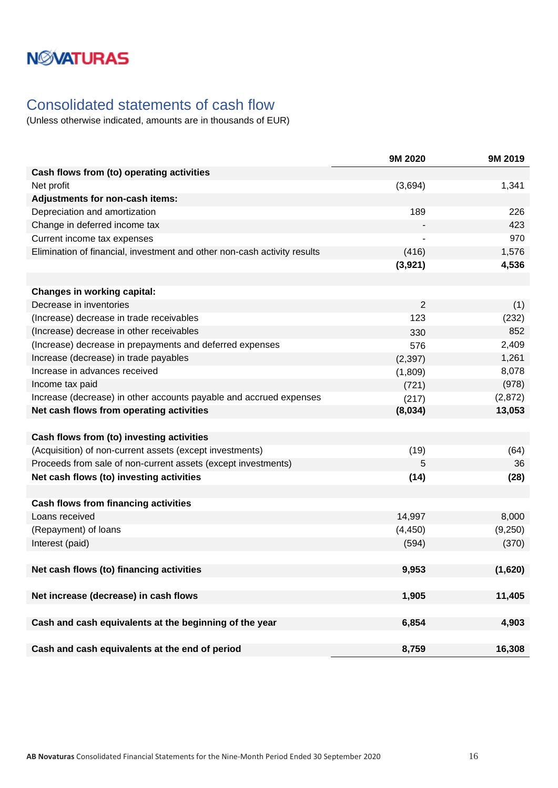## **NMATURAS**

### <span id="page-15-0"></span>Consolidated statements of cash flow

|                                                                          | 9M 2020  | 9M 2019 |
|--------------------------------------------------------------------------|----------|---------|
| Cash flows from (to) operating activities                                |          |         |
| Net profit                                                               | (3,694)  | 1,341   |
| Adjustments for non-cash items:                                          |          |         |
| Depreciation and amortization                                            | 189      | 226     |
| Change in deferred income tax                                            |          | 423     |
| Current income tax expenses                                              |          | 970     |
| Elimination of financial, investment and other non-cash activity results | (416)    | 1,576   |
|                                                                          | (3,921)  | 4,536   |
|                                                                          |          |         |
| <b>Changes in working capital:</b>                                       |          |         |
| Decrease in inventories                                                  | 2        | (1)     |
| (Increase) decrease in trade receivables                                 | 123      | (232)   |
| (Increase) decrease in other receivables                                 | 330      | 852     |
| (Increase) decrease in prepayments and deferred expenses                 | 576      | 2,409   |
| Increase (decrease) in trade payables                                    | (2, 397) | 1,261   |
| Increase in advances received                                            | (1,809)  | 8,078   |
| Income tax paid                                                          | (721)    | (978)   |
| Increase (decrease) in other accounts payable and accrued expenses       | (217)    | (2,872) |
| Net cash flows from operating activities                                 | (8,034)  | 13,053  |
|                                                                          |          |         |
| Cash flows from (to) investing activities                                |          |         |
| (Acquisition) of non-current assets (except investments)                 | (19)     | (64)    |
| Proceeds from sale of non-current assets (except investments)            | 5        | 36      |
| Net cash flows (to) investing activities                                 | (14)     | (28)    |
|                                                                          |          |         |
| <b>Cash flows from financing activities</b>                              |          |         |
| Loans received                                                           | 14,997   | 8,000   |
| (Repayment) of loans                                                     | (4, 450) | (9,250) |
| Interest (paid)                                                          | (594)    | (370)   |
|                                                                          |          |         |
| Net cash flows (to) financing activities                                 | 9,953    | (1,620) |
|                                                                          |          |         |
| Net increase (decrease) in cash flows                                    | 1,905    | 11,405  |
|                                                                          |          |         |
| Cash and cash equivalents at the beginning of the year                   | 6,854    | 4,903   |
|                                                                          |          |         |
| Cash and cash equivalents at the end of period                           | 8,759    | 16,308  |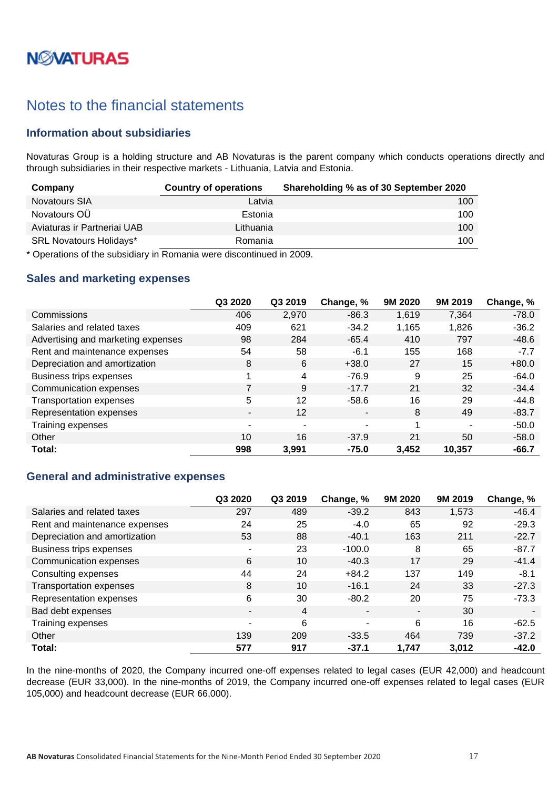# **N***N***XATURAS**

### <span id="page-16-0"></span>Notes to the financial statements

#### <span id="page-16-1"></span>**Information about subsidiaries**

Novaturas Group is a holding structure and AB Novaturas is the parent company which conducts operations directly and through subsidiaries in their respective markets - Lithuania, Latvia and Estonia.

| Company                        | <b>Country of operations</b> | Shareholding % as of 30 September 2020 |
|--------------------------------|------------------------------|----------------------------------------|
| <b>Novatours SIA</b>           | Latvia                       | 100                                    |
| Novatours OU                   | Estonia                      | 100                                    |
| Aviaturas ir Partneriai UAB    | Lithuania                    | 100                                    |
| <b>SRL Novatours Holidays*</b> | Romania                      | 100                                    |

\* Operations of the subsidiary in Romania were discontinued in 2009.

#### <span id="page-16-2"></span>**Sales and marketing expenses**

|                                    | Q3 2020 | Q3 2019        | Change, %      | 9M 2020 | 9M 2019 | Change, % |
|------------------------------------|---------|----------------|----------------|---------|---------|-----------|
| Commissions                        | 406     | 2,970          | $-86.3$        | 1,619   | 7,364   | $-78.0$   |
| Salaries and related taxes         | 409     | 621            | $-34.2$        | 1,165   | 1,826   | $-36.2$   |
| Advertising and marketing expenses | 98      | 284            | $-65.4$        | 410     | 797     | $-48.6$   |
| Rent and maintenance expenses      | 54      | 58             | $-6.1$         | 155     | 168     | $-7.7$    |
| Depreciation and amortization      | 8       | 6              | $+38.0$        | 27      | 15      | $+80.0$   |
| Business trips expenses            | 1       | 4              | $-76.9$        | 9       | 25      | $-64.0$   |
| Communication expenses             | 7       | 9              | $-17.7$        | 21      | 32      | $-34.4$   |
| <b>Transportation expenses</b>     | 5       | 12             | $-58.6$        | 16      | 29      | $-44.8$   |
| Representation expenses            | -       | $12 \,$        | $\blacksquare$ | 8       | 49      | $-83.7$   |
| Training expenses                  | ۰       | $\blacksquare$ | $\blacksquare$ |         |         | $-50.0$   |
| Other                              | 10      | 16             | $-37.9$        | 21      | 50      | $-58.0$   |
| Total:                             | 998     | 3,991          | $-75.0$        | 3,452   | 10,357  | $-66.7$   |

#### <span id="page-16-3"></span>**General and administrative expenses**

|                                | Q3 2020 | Q3 2019 | Change, %      | 9M 2020 | 9M 2019 | Change, % |
|--------------------------------|---------|---------|----------------|---------|---------|-----------|
| Salaries and related taxes     | 297     | 489     | $-39.2$        | 843     | 1,573   | $-46.4$   |
| Rent and maintenance expenses  | 24      | 25      | $-4.0$         | 65      | 92      | $-29.3$   |
| Depreciation and amortization  | 53      | 88      | $-40.1$        | 163     | 211     | $-22.7$   |
| Business trips expenses        | ۰       | 23      | $-100.0$       | 8       | 65      | $-87.7$   |
| Communication expenses         | 6       | 10      | $-40.3$        | 17      | 29      | $-41.4$   |
| Consulting expenses            | 44      | 24      | $+84.2$        | 137     | 149     | $-8.1$    |
| <b>Transportation expenses</b> | 8       | 10      | $-16.1$        | 24      | 33      | $-27.3$   |
| Representation expenses        | 6       | 30      | $-80.2$        | 20      | 75      | $-73.3$   |
| Bad debt expenses              | ۰       | 4       | $\blacksquare$ | ٠       | 30      |           |
| Training expenses              | ۰       | 6       | ٠              | 6       | 16      | $-62.5$   |
| Other                          | 139     | 209     | $-33.5$        | 464     | 739     | $-37.2$   |
| Total:                         | 577     | 917     | $-37.1$        | 1,747   | 3.012   | $-42.0$   |

In the nine-months of 2020, the Company incurred one-off expenses related to legal cases (EUR 42,000) and headcount decrease (EUR 33,000). In the nine-months of 2019, the Company incurred one-off expenses related to legal cases (EUR 105,000) and headcount decrease (EUR 66,000).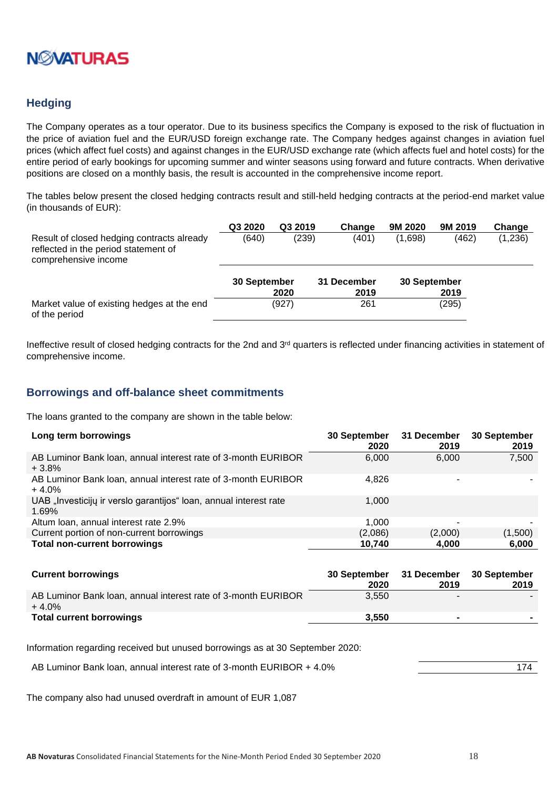

#### <span id="page-17-0"></span>**Hedging**

The Company operates as a tour operator. Due to its business specifics the Company is exposed to the risk of fluctuation in the price of aviation fuel and the EUR/USD foreign exchange rate. The Company hedges against changes in aviation fuel prices (which affect fuel costs) and against changes in the EUR/USD exchange rate (which affects fuel and hotel costs) for the entire period of early bookings for upcoming summer and winter seasons using forward and future contracts. When derivative positions are closed on a monthly basis, the result is accounted in the comprehensive income report.

The tables below present the closed hedging contracts result and still-held hedging contracts at the period-end market value (in thousands of EUR):

|                                                                                                            | Q3 2020      | Q3 2019 | Change      | 9M 2020      | 9M 2019 | Change  |
|------------------------------------------------------------------------------------------------------------|--------------|---------|-------------|--------------|---------|---------|
| Result of closed hedging contracts already<br>reflected in the period statement of<br>comprehensive income | (640)        | (239)   | (401)       | (1,698)      | (462)   | (1,236) |
|                                                                                                            | 30 September |         | 31 December | 30 September |         |         |
|                                                                                                            |              | 2020    | 2019        |              | 2019    |         |
| Market value of existing hedges at the end<br>of the period                                                |              | (927)   | 261         |              | (295)   |         |

Ineffective result of closed hedging contracts for the 2nd and 3rd quarters is reflected under financing activities in statement of comprehensive income.

#### <span id="page-17-1"></span>**Borrowings and off-balance sheet commitments**

The loans granted to the company are shown in the table below:

| Long term borrowings                                                       | 30 September<br>2020 | 31 December<br>2019 | 30 September<br>2019 |
|----------------------------------------------------------------------------|----------------------|---------------------|----------------------|
| AB Luminor Bank Ioan, annual interest rate of 3-month EURIBOR<br>$+3.8%$   | 6,000                | 6,000               | 7,500                |
| AB Luminor Bank Ioan, annual interest rate of 3-month EURIBOR<br>$+4.0%$   | 4.826                |                     |                      |
| UAB "Investicijų ir verslo garantijos" loan, annual interest rate<br>1.69% | 1,000                |                     |                      |
| Altum Ioan, annual interest rate 2.9%                                      | 1.000                | -                   |                      |
| Current portion of non-current borrowings                                  | (2,086)              | (2,000)             | (1,500)              |
| <b>Total non-current borrowings</b>                                        | 10,740               | 4,000               | 6,000                |

| <b>Current borrowings</b>                                                | <b>30 September</b> | 31 December 30 September |      |
|--------------------------------------------------------------------------|---------------------|--------------------------|------|
|                                                                          | 2020                | 2019                     | 2019 |
| AB Luminor Bank Ioan, annual interest rate of 3-month EURIBOR<br>$+4.0%$ | 3.550               | -                        |      |
| <b>Total current borrowings</b>                                          | 3.550               |                          |      |

Information regarding received but unused borrowings as at 30 September 2020:

AB Luminor Bank loan, annual interest rate of 3-month EURIBOR + 4.0% 174

The company also had unused overdraft in amount of EUR 1,087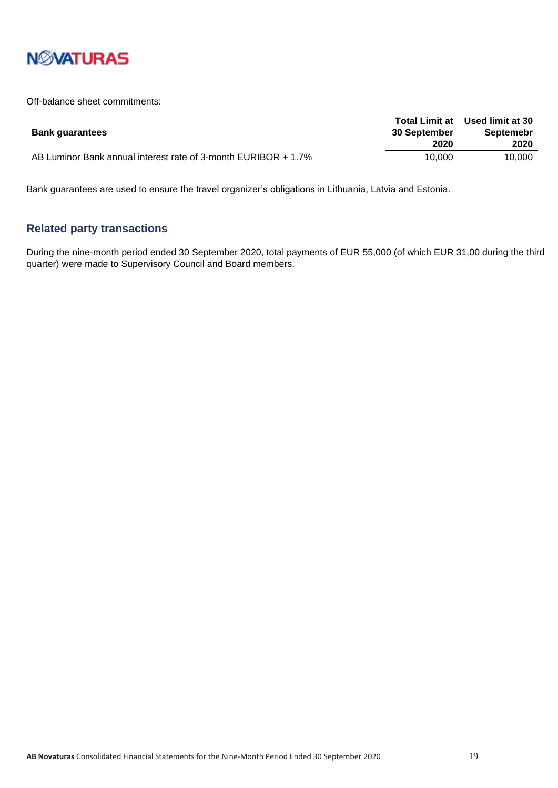

Off-balance sheet commitments:

| <b>Bank guarantees</b>                                         | <b>Total Limit at</b><br><b>30 September</b> | Used limit at 30<br><b>Septemebr</b> |
|----------------------------------------------------------------|----------------------------------------------|--------------------------------------|
|                                                                | 2020                                         | 2020                                 |
| AB Luminor Bank annual interest rate of 3-month EURIBOR + 1.7% | 10.000                                       | 10.000                               |

Bank guarantees are used to ensure the travel organizer's obligations in Lithuania, Latvia and Estonia.

#### <span id="page-18-0"></span>**Related party transactions**

During the nine-month period ended 30 September 2020, total payments of EUR 55,000 (of which EUR 31,00 during the third quarter) were made to Supervisory Council and Board members.